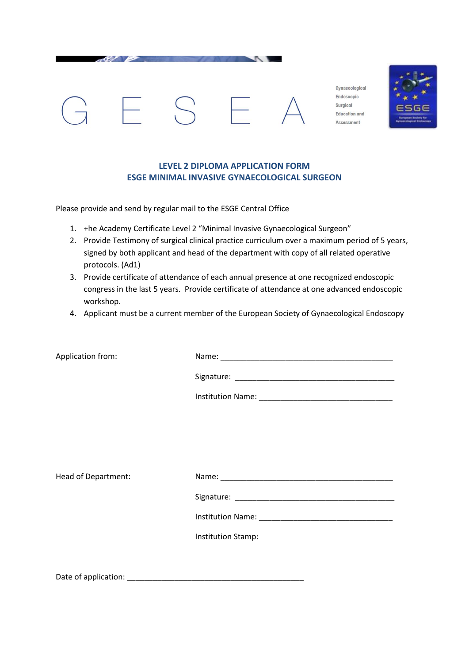

Gynaecological Endoscopic Surgical **Education and** Assessment



## **LEVEL 2 DIPLOMA APPLICATION FORM ESGE MINIMAL INVASIVE GYNAECOLOGICAL SURGEON**

Please provide and send by regular mail to the ESGE Central Office

- 1. +he Academy Certificate Level 2 "Minimal Invasive Gynaecological Surgeon"
- 2. Provide Testimony of surgical clinical practice curriculum over a maximum period of 5 years, signed by both applicant and head of the department with copy of all related operative protocols. (Ad1)
- 3. Provide certificate of attendance of each annual presence at one recognized endoscopic congress in the last 5 years. Provide certificate of attendance at one advanced endoscopic workshop.
- 4. Applicant must be a current member of the European Society of Gynaecological Endoscopy

| Application from:   |                    |
|---------------------|--------------------|
|                     |                    |
|                     |                    |
|                     |                    |
|                     |                    |
|                     |                    |
| Head of Department: |                    |
|                     |                    |
|                     |                    |
|                     | Institution Stamp: |
|                     |                    |

Date of application: \_\_\_\_\_\_\_\_\_\_\_\_\_\_\_\_\_\_\_\_\_\_\_\_\_\_\_\_\_\_\_\_\_\_\_\_\_\_\_\_\_